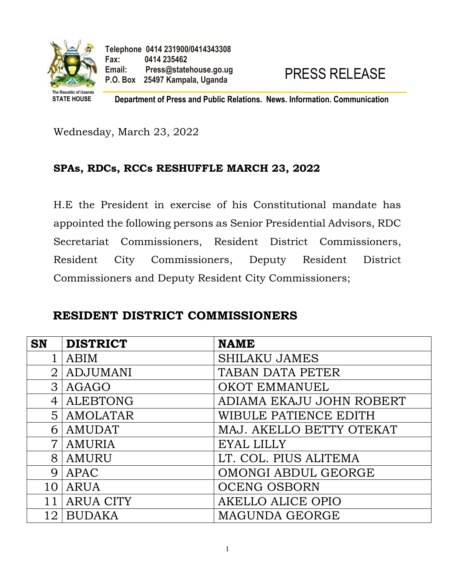

**STATE HOUSE Department of Press and Public Relations. News. Information. Communication**

Wednesday, March 23, 2022

#### **SPAs, RDCs, RCCs RESHUFFLE MARCH 23, 2022**

H.E the President in exercise of his Constitutional mandate has appointed the following persons as Senior Presidential Advisors, RDC Secretariat Commissioners, Resident District Commissioners, Resident City Commissioners, Deputy Resident District Commissioners and Deputy Resident City Commissioners;

#### **RESIDENT DISTRICT COMMISSIONERS**

| <b>SN</b>      | <b>DISTRICT</b>  | <b>NAME</b>              |
|----------------|------------------|--------------------------|
|                | <b>ABIM</b>      | <b>SHILAKU JAMES</b>     |
| $\overline{2}$ | <b>ADJUMANI</b>  | TABAN DATA PETER         |
| 3              | <b>AGAGO</b>     | <b>OKOT EMMANUEL</b>     |
| $\overline{4}$ | <b>ALEBTONG</b>  | ADIAMA EKAJU JOHN ROBERT |
| 5              | <b>AMOLATAR</b>  | WIBULE PATIENCE EDITH    |
| 6              | <b>AMUDAT</b>    | MAJ. AKELLO BETTY OTEKAT |
| $\overline{7}$ | <b>AMURIA</b>    | <b>EYAL LILLY</b>        |
| 8              | AMURU            | LT. COL. PIUS ALITEMA    |
| 9              | APAC             | OMONGI ABDUL GEORGE      |
| 10             | <b>ARUA</b>      | <b>OCENG OSBORN</b>      |
|                | <b>ARUA CITY</b> | <b>AKELLO ALICE OPIO</b> |
| 12             | <b>BUDAKA</b>    | MAGUNDA GEORGE           |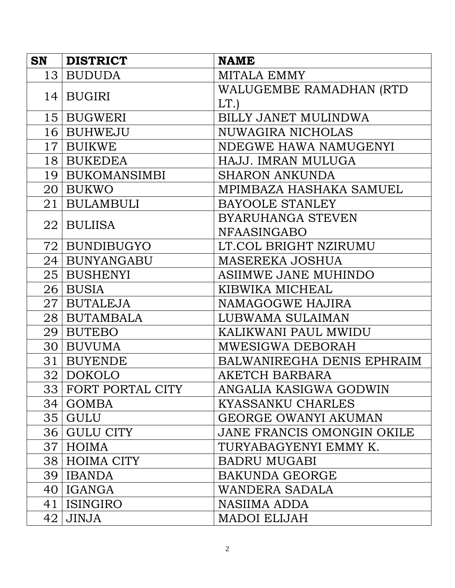| <b>SN</b> | <b>DISTRICT</b>     | <b>NAME</b>                 |
|-----------|---------------------|-----------------------------|
|           | 13 BUDUDA           | MITALA EMMY                 |
|           | 14 BUGIRI           | WALUGEMBE RAMADHAN (RTD     |
|           |                     | LT.                         |
|           | 15 BUGWERI          | <b>BILLY JANET MULINDWA</b> |
|           | 16 BUHWEJU          | <b>NUWAGIRA NICHOLAS</b>    |
|           | 17 BUIKWE           | NDEGWE HAWA NAMUGENYI       |
|           | 18 BUKEDEA          | HAJJ. IMRAN MULUGA          |
|           | 19   BUKOMANSIMBI   | <b>SHARON ANKUNDA</b>       |
|           | 20 BUKWO            | MPIMBAZA HASHAKA SAMUEL     |
|           | 21   BULAMBULI      | <b>BAYOOLE STANLEY</b>      |
|           | 22   BULIISA        | <b>BYARUHANGA STEVEN</b>    |
|           |                     | <b>NFAASINGABO</b>          |
|           | 72   BUNDIBUGYO     | LT.COL BRIGHT NZIRUMU       |
|           | 24   BUNYANGABU     | <b>MASEREKA JOSHUA</b>      |
|           | 25 BUSHENYI         | ASIIMWE JANE MUHINDO        |
|           | $26 $ BUSIA         | KIBWIKA MICHEAL             |
|           | 27   BUTALEJA       | NAMAGOGWE HAJIRA            |
|           | 28 BUTAMBALA        | LUBWAMA SULAIMAN            |
|           | 29   BUTEBO         | KALIKWANI PAUL MWIDU        |
|           | 30 BUVUMA           | MWESIGWA DEBORAH            |
| 31        | <b>BUYENDE</b>      | BALWANIREGHA DENIS EPHRAIM  |
|           | 32   DOKOLO         | AKETCH BARBARA              |
|           | 33 FORT PORTAL CITY | ANGALIA KASIGWA GODWIN      |
| 34        | <b>GOMBA</b>        | KYASSANKU CHARLES           |
|           | 35 GULU             | <b>GEORGE OWANYI AKUMAN</b> |
|           | 36 GULU CITY        | JANE FRANCIS OMONGIN OKILE  |
|           | 37   HOIMA          | TURYABAGYENYI EMMY K.       |
|           | 38 HOIMA CITY       | <b>BADRU MUGABI</b>         |
|           | 39   IBANDA         | <b>BAKUNDA GEORGE</b>       |
|           | 40   IGANGA         | WANDERA SADALA              |
|           | 41   ISINGIRO       | NASIIMA ADDA                |
|           | $42$ JINJA          | <b>MADOI ELIJAH</b>         |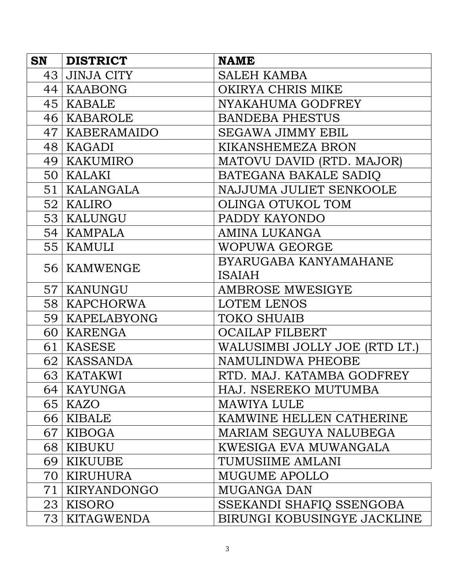| <b>SN</b> | <b>DISTRICT</b>   | <b>NAME</b>                   |
|-----------|-------------------|-------------------------------|
| 43        | <b>JINJA CITY</b> | <b>SALEH KAMBA</b>            |
|           | 44   KAABONG      | OKIRYA CHRIS MIKE             |
|           | 45   KABALE       | NYAKAHUMA GODFREY             |
|           | 46   KABAROLE     | <b>BANDEBA PHESTUS</b>        |
|           | 47   KABERAMAIDO  | <b>SEGAWA JIMMY EBIL</b>      |
|           | 48   KAGADI       | KIKANSHEMEZA BRON             |
|           | 49   KAKUMIRO     | MATOVU DAVID (RTD. MAJOR)     |
|           | 50   KALAKI       | BATEGANA BAKALE SADIO         |
|           | 51   KALANGALA    | NAJJUMA JULIET SENKOOLE       |
|           | 52   KALIRO       | OLINGA OTUKOL TOM             |
|           | 53   KALUNGU      | PADDY KAYONDO                 |
|           | 54   KAMPALA      | <b>AMINA LUKANGA</b>          |
|           | 55   KAMULI       | WOPUWA GEORGE                 |
|           | 56   KAMWENGE     | BYARUGABA KANYAMAHANE         |
|           |                   | <b>ISAIAH</b>                 |
|           | 57   KANUNGU      | AMBROSE MWESIGYE              |
|           | 58   KAPCHORWA    | <b>LOTEM LENOS</b>            |
|           | 59   KAPELABYONG  | <b>TOKO SHUAIB</b>            |
|           | 60   KARENGA      | <b>OCAILAP FILBERT</b>        |
|           | 61   KASESE       | WALUSIMBI JOLLY JOE (RTD LT.) |
|           | 62   KASSANDA     | NAMULINDWA PHEOBE             |
|           | 63   KATAKWI      | RTD. MAJ. KATAMBA GODFREY     |
|           | 64   KAYUNGA      | HAJ. NSEREKO MUTUMBA          |
|           | 65   KAZO         | MAWIYA LULE                   |
|           | 66   KIBALE       | KAMWINE HELLEN CATHERINE      |
|           | 67   KIBOGA       | MARIAM SEGUYA NALUBEGA        |
|           | 68   KIBUKU       | KWESIGA EVA MUWANGALA         |
|           | 69   KIKUUBE      | TUMUSIIME AMLANI              |
| 70        | KIRUHURA          | <b>MUGUME APOLLO</b>          |
| 71        | KIRYANDONGO       | <b>MUGANGA DAN</b>            |
|           | 23   KISORO       | SSEKANDI SHAFIQ SSENGOBA      |
|           | 73   KITAGWENDA   | BIRUNGI KOBUSINGYE JACKLINE   |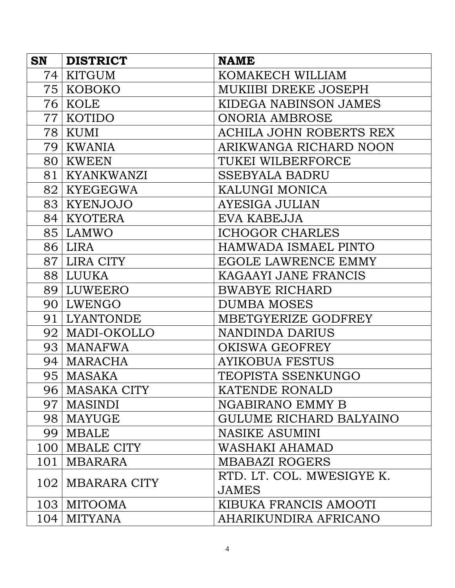| <b>SN</b>        | <b>DISTRICT</b>     | <b>NAME</b>                    |
|------------------|---------------------|--------------------------------|
| 74 I             | <b>KITGUM</b>       | KOMAKECH WILLIAM               |
|                  | 75   KOBOKO         | MUKIIBI DREKE JOSEPH           |
|                  | 76   KOLE           | KIDEGA NABINSON JAMES          |
|                  | 77   KOTIDO         | <b>ONORIA AMBROSE</b>          |
|                  | 78   KUMI           | <b>ACHILA JOHN ROBERTS REX</b> |
|                  | 79   KWANIA         | ARIKWANGA RICHARD NOON         |
|                  | 80   KWEEN          | TUKEI WILBERFORCE              |
|                  | 81   KYANKWANZI     | <b>SSEBYALA BADRU</b>          |
|                  | 82   KYEGEGWA       | KALUNGI MONICA                 |
|                  | 83 KYENJOJO         | <b>AYESIGA JULIAN</b>          |
|                  | 84   KYOTERA        | EVA KABEJJA                    |
|                  | 85 LAMWO            | <b>ICHOGOR CHARLES</b>         |
|                  | 86 LIRA             | <b>HAMWADA ISMAEL PINTO</b>    |
|                  | 87 LIRA CITY        | EGOLE LAWRENCE EMMY            |
|                  | 88 LUUKA            | KAGAAYI JANE FRANCIS           |
|                  | 89 LUWEERO          | <b>BWABYE RICHARD</b>          |
|                  | 90 LWENGO           | <b>DUMBA MOSES</b>             |
|                  | 91 LYANTONDE        | MBETGYERIZE GODFREY            |
|                  | 92   MADI-OKOLLO    | NANDINDA DARIUS                |
|                  | 93   MANAFWA        | <b>OKISWA GEOFREY</b>          |
|                  | 94   MARACHA        | <b>AYIKOBUA FESTUS</b>         |
|                  | 95   MASAKA         | TEOPISTA SSENKUNGO             |
|                  | 96   MASAKA CITY    | <b>KATENDE RONALD</b>          |
| 97               | <b>MASINDI</b>      | <b>NGABIRANO EMMY B</b>        |
|                  | 98   MAYUGE         | GULUME RICHARD BALYAINO        |
|                  | 99   MBALE          | <b>NASIKE ASUMINI</b>          |
|                  | 100   MBALE CITY    | WASHAKI AHAMAD                 |
| 101              | <b>MBARARA</b>      | <b>MBABAZI ROGERS</b>          |
| 102 <sub>1</sub> | <b>MBARARA CITY</b> | RTD. LT. COL. MWESIGYE K.      |
|                  |                     | <b>JAMES</b>                   |
|                  | 103   MITOOMA       | KIBUKA FRANCIS AMOOTI          |
|                  | $104$   MITYANA     | AHARIKUNDIRA AFRICANO          |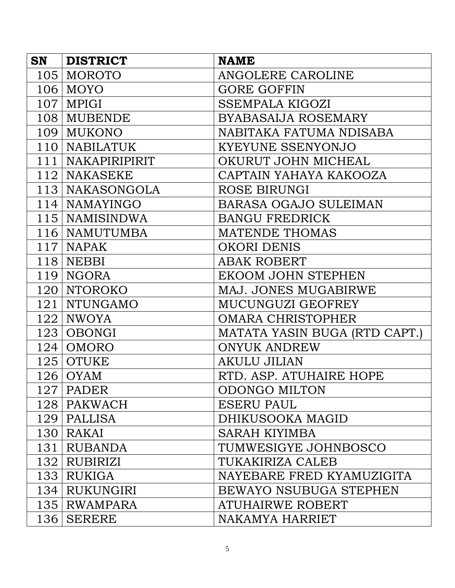| <b>SN</b> | <b>DISTRICT</b>      | <b>NAME</b>                   |
|-----------|----------------------|-------------------------------|
| 105       | <b>MOROTO</b>        | ANGOLERE CAROLINE             |
|           | $106 \mid$ MOYO      | <b>GORE GOFFIN</b>            |
|           | $107$   MPIGI        | <b>SSEMPALA KIGOZI</b>        |
|           | 108   MUBENDE        | <b>BYABASAIJA ROSEMARY</b>    |
|           | 109 MUKONO           | NABITAKA FATUMA NDISABA       |
|           | 110   NABILATUK      | KYEYUNE SSENYONJO             |
| 111       | <b>NAKAPIRIPIRIT</b> | OKURUT JOHN MICHEAL           |
|           | 112   NAKASEKE       | CAPTAIN YAHAYA KAKOOZA        |
|           | 113   NAKASONGOLA    | ROSE BIRUNGI                  |
|           | $114$ NAMAYINGO      | <b>BARASA OGAJO SULEIMAN</b>  |
|           | 115   NAMISINDWA     | <b>BANGU FREDRICK</b>         |
|           | 116   NAMUTUMBA      | <b>MATENDE THOMAS</b>         |
|           | $117$   NAPAK        | <b>OKORI DENIS</b>            |
|           | $118$ NEBBI          | <b>ABAK ROBERT</b>            |
|           | 119 NGORA            | EKOOM JOHN STEPHEN            |
|           | 120   NTOROKO        | MAJ. JONES MUGABIRWE          |
|           | 121   NTUNGAMO       | MUCUNGUZI GEOFREY             |
|           | $122$ NWOYA          | <b>OMARA CHRISTOPHER</b>      |
|           | $123$ OBONGI         | MATATA YASIN BUGA (RTD CAPT.) |
|           | $124$   OMORO        | <b>ONYUK ANDREW</b>           |
|           | $125$ OTUKE          | <b>AKULU JILIAN</b>           |
|           | $126$ OYAM           | RTD. ASP. ATUHAIRE HOPE       |
|           | $127$ PADER          | <b>ODONGO MILTON</b>          |
|           | 128   PAKWACH        | <b>ESERU PAUL</b>             |
|           | $129$   PALLISA      | DHIKUSOOKA MAGID              |
|           | $130$ RAKAI          | <b>SARAH KIYIMBA</b>          |
|           | 131 RUBANDA          | TUMWESIGYE JOHNBOSCO          |
|           | 132 RUBIRIZI         | TUKAKIRIZA CALEB              |
|           | $133$ RUKIGA         | NAYEBARE FRED KYAMUZIGITA     |
|           | 134 RUKUNGIRI        | BEWAYO NSUBUGA STEPHEN        |
|           | 135   RWAMPARA       | <b>ATUHAIRWE ROBERT</b>       |
|           | 136   SERERE         | NAKAMYA HARRIET               |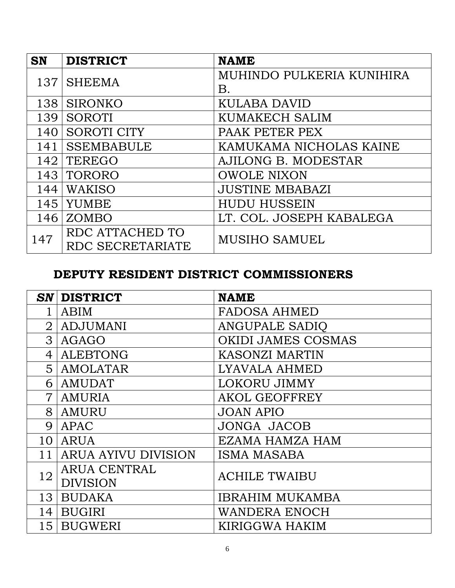| <b>SN</b> | <b>DISTRICT</b>    | <b>NAME</b>               |
|-----------|--------------------|---------------------------|
| 137       |                    | MUHINDO PULKERIA KUNIHIRA |
|           | <b>SHEEMA</b>      | Β.                        |
| 138       | <b>SIRONKO</b>     | KULABA DAVID              |
| 139       | <b>SOROTI</b>      | <b>KUMAKECH SALIM</b>     |
| 140       | <b>SOROTI CITY</b> | PAAK PETER PEX            |
| 141       | <b>SSEMBABULE</b>  | KAMUKAMA NICHOLAS KAINE   |
| 142       | <b>TEREGO</b>      | AJILONG B. MODESTAR       |
| 143       | TORORO             | <b>OWOLE NIXON</b>        |
| 144       | <b>WAKISO</b>      | <b>JUSTINE MBABAZI</b>    |
| 145       | <b>YUMBE</b>       | <b>HUDU HUSSEIN</b>       |
| 146       | ZOMBO              | LT. COL. JOSEPH KABALEGA  |
| 147       | RDC ATTACHED TO    | <b>MUSIHO SAMUEL</b>      |
|           | RDC SECRETARIATE   |                           |

## **DEPUTY RESIDENT DISTRICT COMMISSIONERS**

| $\boldsymbol{S}\boldsymbol{N}$ | <b>DISTRICT</b>            | <b>NAME</b>               |
|--------------------------------|----------------------------|---------------------------|
|                                | ABIM                       | <b>FADOSA AHMED</b>       |
| $\overline{2}$                 | <b>ADJUMANI</b>            | <b>ANGUPALE SADIO</b>     |
| 3                              | AGAGO                      | <b>OKIDI JAMES COSMAS</b> |
| 4                              | <b>ALEBTONG</b>            | <b>KASONZI MARTIN</b>     |
| 5                              | <b>AMOLATAR</b>            | LYAVALA AHMED             |
| 6                              | <b>AMUDAT</b>              | <b>LOKORU JIMMY</b>       |
| $\overline{7}$                 | <b>AMURIA</b>              | <b>AKOL GEOFFREY</b>      |
| 8                              | AMURU                      | <b>JOAN APIO</b>          |
| 9                              | APAC                       | <b>JONGA JACOB</b>        |
| 10                             | <b>ARUA</b>                | <b>EZAMA HAMZA HAM</b>    |
|                                | <b>ARUA AYIVU DIVISION</b> | <b>ISMA MASABA</b>        |
| 12                             | <b>ARUA CENTRAL</b>        | <b>ACHILE TWAIBU</b>      |
|                                | <b>DIVISION</b>            |                           |
| 13                             | <b>BUDAKA</b>              | <b>IBRAHIM MUKAMBA</b>    |
| 14                             | <b>BUGIRI</b>              | <b>WANDERA ENOCH</b>      |
| 15                             | <b>BUGWERI</b>             | KIRIGGWA HAKIM            |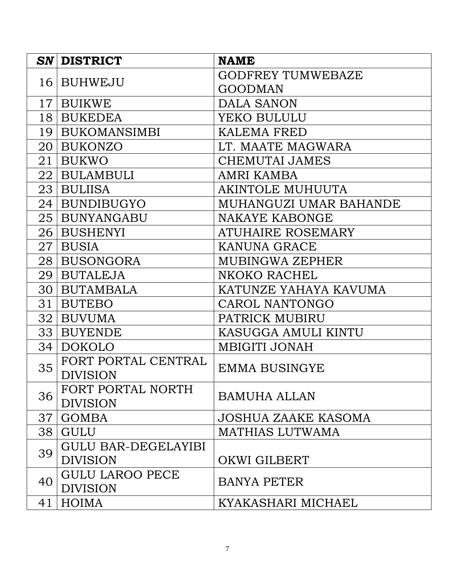| SN              | <b>DISTRICT</b>            | <b>NAME</b>                |
|-----------------|----------------------------|----------------------------|
| 16              | <b>BUHWEJU</b>             | <b>GODFREY TUMWEBAZE</b>   |
|                 |                            | <b>GOODMAN</b>             |
| 17 <sub>l</sub> | <b>BUIKWE</b>              | DALA SANON                 |
| 18 <sup>1</sup> | <b>BUKEDEA</b>             | YEKO BULULU                |
| 19              | <b>BUKOMANSIMBI</b>        | <b>KALEMA FRED</b>         |
| 20              | <b>BUKONZO</b>             | LT. MAATE MAGWARA          |
| 21              | <b>BUKWO</b>               | <b>CHEMUTAI JAMES</b>      |
|                 | 22   BULAMBULI             | AMRI KAMBA                 |
| 23              | <b>BULIISA</b>             | AKINTOLE MUHUUTA           |
| 24              | <b>BUNDIBUGYO</b>          | MUHANGUZI UMAR BAHANDE     |
| 25              | <b>BUNYANGABU</b>          | NAKAYE KABONGE             |
| 26 <sub>l</sub> | <b>BUSHENYI</b>            | ATUHAIRE ROSEMARY          |
| 27              | <b>BUSIA</b>               | <b>KANUNA GRACE</b>        |
| 28              | <b>BUSONGORA</b>           | MUBINGWA ZEPHER            |
| 29              | <b>BUTALEJA</b>            | NKOKO RACHEL               |
| 30              | <b>BUTAMBALA</b>           | KATUNZE YAHAYA KAVUMA      |
| 31              | <b>BUTEBO</b>              | CAROL NANTONGO             |
| 32              | <b>BUVUMA</b>              | PATRICK MUBIRU             |
| 33              | <b>BUYENDE</b>             | KASUGGA AMULI KINTU        |
| 34              | <b>DOKOLO</b>              | <b>MBIGITI JONAH</b>       |
| 35              | FORT PORTAL CENTRAL        | <b>EMMA BUSINGYE</b>       |
|                 | <b>DIVISION</b>            |                            |
| 36              | FORT PORTAL NORTH          | <b>BAMUHA ALLAN</b>        |
|                 | <b>DIVISION</b>            |                            |
| 37              | <b>GOMBA</b>               | <b>JOSHUA ZAAKE KASOMA</b> |
| 38              | <b>GULU</b>                | <b>MATHIAS LUTWAMA</b>     |
| 39              | <b>GULU BAR-DEGELAYIBI</b> |                            |
|                 | <b>DIVISION</b>            | OKWI GILBERT               |
| 40              | <b>GULU LAROO PECE</b>     | <b>BANYA PETER</b>         |
|                 | <b>DIVISION</b>            |                            |
| 41              | HOIMA                      | KYAKASHARI MICHAEL         |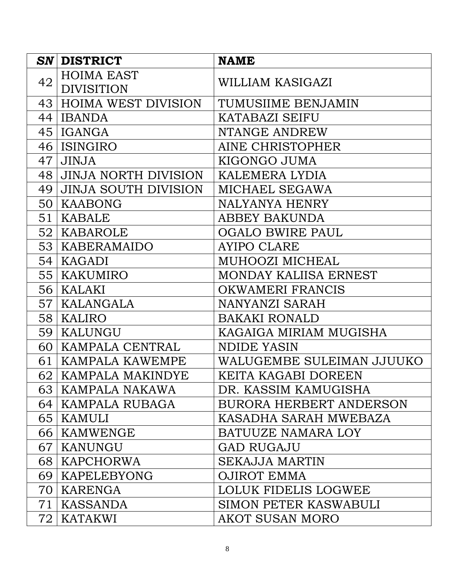| SN <sub>1</sub> | <b>DISTRICT</b>                        | <b>NAME</b>                    |
|-----------------|----------------------------------------|--------------------------------|
| 42              | <b>HOIMA EAST</b><br><b>DIVISITION</b> | WILLIAM KASIGAZI               |
| 43              | <b>HOIMA WEST DIVISION</b>             | TUMUSIIME BENJAMIN             |
| 44              | <b>IBANDA</b>                          | <b>KATABAZI SEIFU</b>          |
| 45              | IGANGA                                 | NTANGE ANDREW                  |
| 46              | <b>ISINGIRO</b>                        | AINE CHRISTOPHER               |
| 47              | <b>JINJA</b>                           | KIGONGO JUMA                   |
| 48              | <b>JINJA NORTH DIVISION</b>            | KALEMERA LYDIA                 |
| 49              | <b>JINJA SOUTH DIVISION</b>            | MICHAEL SEGAWA                 |
| 50              | <b>KAABONG</b>                         | <b>NALYANYA HENRY</b>          |
| 51              | KABALE                                 | ABBEY BAKUNDA                  |
| 52 <sub>1</sub> | KABAROLE                               | <b>OGALO BWIRE PAUL</b>        |
| 53              | KABERAMAIDO                            | <b>AYIPO CLARE</b>             |
| 54              | KAGADI                                 | MUHOOZI MICHEAL                |
| 55 <sub>1</sub> | <b>KAKUMIRO</b>                        | MONDAY KALIISA ERNEST          |
| 56              | KALAKI                                 | <b>OKWAMERI FRANCIS</b>        |
| 57              | KALANGALA                              | NANYANZI SARAH                 |
| 58              | KALIRO                                 | <b>BAKAKI RONALD</b>           |
| 59              | KALUNGU                                | KAGAIGA MIRIAM MUGISHA         |
| 60              | KAMPALA CENTRAL                        | NDIDE YASIN                    |
| 61              | KAMPALA KAWEMPE                        | WALUGEMBE SULEIMAN JJUUKO      |
| 62              | <b>KAMPALA MAKINDYE</b>                | KEITA KAGABI DOREEN            |
|                 | 63   KAMPALA NAKAWA                    | DR. KASSIM KAMUGISHA           |
| 64              | KAMPALA RUBAGA                         | <b>BURORA HERBERT ANDERSON</b> |
|                 | 65   KAMULI                            | KASADHA SARAH MWEBAZA          |
|                 | 66   KAMWENGE                          | BATUUZE NAMARA LOY             |
| 67 l            | KANUNGU                                | <b>GAD RUGAJU</b>              |
|                 | 68   KAPCHORWA                         | <b>SEKAJJA MARTIN</b>          |
| 69              | <b>KAPELEBYONG</b>                     | <b>OJIROT EMMA</b>             |
| 70              | KARENGA                                | LOLUK FIDELIS LOGWEE           |
| 71              | KASSANDA                               | <b>SIMON PETER KASWABULI</b>   |
| 72              | <b>KATAKWI</b>                         | <b>AKOT SUSAN MORO</b>         |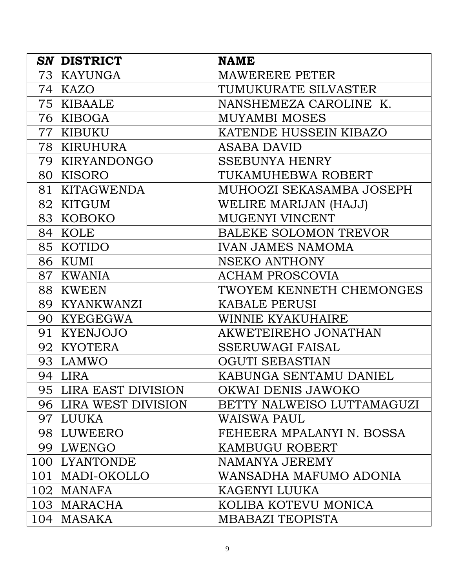|     | <b>SN DISTRICT</b>    | <b>NAME</b>                  |
|-----|-----------------------|------------------------------|
| 73  | KAYUNGA               | <b>MAWERERE PETER</b>        |
|     | 74   KAZO             | TUMUKURATE SILVASTER         |
|     | 75   KIBAALE          | NANSHEMEZA CAROLINE K.       |
|     | 76   KIBOGA           | <b>MUYAMBI MOSES</b>         |
| 77  | KIBUKU                | KATENDE HUSSEIN KIBAZO       |
| 78  | KIRUHURA              | ASABA DAVID                  |
| 79  | KIRYANDONGO           | <b>SSEBUNYA HENRY</b>        |
| 80  | KISORO                | TUKAMUHEBWA ROBERT           |
| 81  | <b>KITAGWENDA</b>     | MUHOOZI SEKASAMBA JOSEPH     |
| 82  | <b>KITGUM</b>         | WELIRE MARIJAN (HAJJ)        |
| 83  | KOBOKO                | <b>MUGENYI VINCENT</b>       |
|     | 84   KOLE             | <b>BALEKE SOLOMON TREVOR</b> |
|     | 85 KOTIDO             | <b>IVAN JAMES NAMOMA</b>     |
| 86  | KUMI                  | <b>NSEKO ANTHONY</b>         |
| 87  | <b>KWANIA</b>         | <b>ACHAM PROSCOVIA</b>       |
| 88  | KWEEN                 | TWOYEM KENNETH CHEMONGES     |
| 89  | KYANKWANZI            | <b>KABALE PERUSI</b>         |
| 90  | KYEGEGWA              | WINNIE KYAKUHAIRE            |
| 91  | <b>KYENJOJO</b>       | AKWETEIREHO JONATHAN         |
| 92  | <b>KYOTERA</b>        | <b>SSERUWAGI FAISAL</b>      |
| 93  | LAMWO                 | <b>OGUTI SEBASTIAN</b>       |
| 94  | LIRA                  | KABUNGA SENTAMU DANIEL       |
|     | 95 LIRA EAST DIVISION | OKWAI DENIS JAWOKO           |
|     | 96 LIRA WEST DIVISION | BETTY NALWEISO LUTTAMAGUZI   |
|     | 97   LUUKA            | WAISWA PAUL                  |
|     | 98 LUWEERO            | FEHEERA MPALANYI N. BOSSA    |
|     | 99 LWENGO             | KAMBUGU ROBERT               |
|     | 100 LYANTONDE         | NAMANYA JEREMY               |
| 101 | MADI-OKOLLO           | WANSADHA MAFUMO ADONIA       |
|     | $102$   MANAFA        | KAGENYI LUUKA                |
|     | 103   MARACHA         | KOLIBA KOTEVU MONICA         |
|     | $104$   MASAKA        | <b>MBABAZI TEOPISTA</b>      |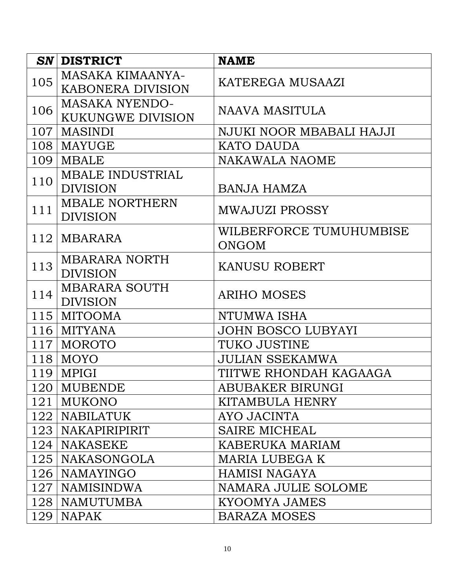| SN  | <b>DISTRICT</b>                                     | <b>NAME</b>                             |
|-----|-----------------------------------------------------|-----------------------------------------|
| 105 | <b>MASAKA KIMAANYA-</b><br><b>KABONERA DIVISION</b> | KATEREGA MUSAAZI                        |
|     | <b>MASAKA NYENDO-</b>                               |                                         |
| 106 | <b>KUKUNGWE DIVISION</b>                            | NAAVA MASITULA                          |
| 107 | <b>MASINDI</b>                                      | NJUKI NOOR MBABALI HAJJI                |
|     | 108   MAYUGE                                        | KATO DAUDA                              |
| 109 | <b>MBALE</b>                                        | <b>NAKAWALA NAOME</b>                   |
|     | <b>MBALE INDUSTRIAL</b>                             |                                         |
| 110 | <b>DIVISION</b>                                     | <b>BANJA HAMZA</b>                      |
| 111 | <b>MBALE NORTHERN</b><br><b>DIVISION</b>            | <b>MWAJUZI PROSSY</b>                   |
| 112 | MBARARA                                             | WILBERFORCE TUMUHUMBISE<br><b>ONGOM</b> |
| 113 | <b>MBARARA NORTH</b><br><b>DIVISION</b>             | <b>KANUSU ROBERT</b>                    |
| 114 | <b>MBARARA SOUTH</b><br><b>DIVISION</b>             | <b>ARIHO MOSES</b>                      |
|     | 115   MITOOMA                                       | NTUMWA ISHA                             |
|     | $116$ MITYANA                                       | <b>JOHN BOSCO LUBYAYI</b>               |
| 117 | <b>MOROTO</b>                                       | <b>TUKO JUSTINE</b>                     |
| 118 | <b>MOYO</b>                                         | <b>JULIAN SSEKAMWA</b>                  |
| 119 | MPIGI                                               | TIITWE RHONDAH KAGAAGA                  |
|     | 120 MUBENDE                                         | ABUBAKER BIRUNGI                        |
| 121 | <b>MUKONO</b>                                       | KITAMBULA HENRY                         |
|     | 122   NABILATUK                                     | AYO JACINTA                             |
|     | 123   NAKAPIRIPIRIT                                 | <b>SAIRE MICHEAL</b>                    |
|     | 124   NAKASEKE                                      | KABERUKA MARIAM                         |
|     | 125   NAKASONGOLA                                   | <b>MARIA LUBEGA K</b>                   |
|     | 126   NAMAYINGO                                     | HAMISI NAGAYA                           |
| 127 | NAMISINDWA                                          | NAMARA JULIE SOLOME                     |
| 128 | <b>NAMUTUMBA</b>                                    | <b>KYOOMYA JAMES</b>                    |
| 129 | <b>NAPAK</b>                                        | <b>BARAZA MOSES</b>                     |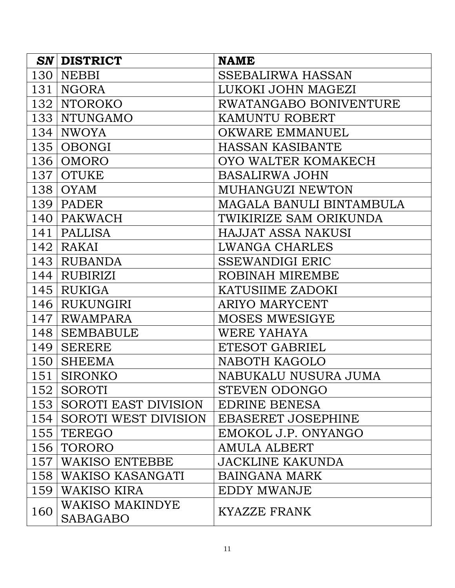| SN               | <b>DISTRICT</b>                    | <b>NAME</b>               |
|------------------|------------------------------------|---------------------------|
| 130              | <b>NEBBI</b>                       | <b>SSEBALIRWA HASSAN</b>  |
| 131              | <b>NGORA</b>                       | LUKOKI JOHN MAGEZI        |
|                  | 132   NTOROKO                      | RWATANGABO BONIVENTURE    |
|                  | 133   NTUNGAMO                     | KAMUNTU ROBERT            |
| 134              | <b>NWOYA</b>                       | <b>OKWARE EMMANUEL</b>    |
|                  | $135$ OBONGI                       | <b>HASSAN KASIBANTE</b>   |
| 136              | OMORO                              | OYO WALTER KOMAKECH       |
|                  | 137 OTUKE                          | <b>BASALIRWA JOHN</b>     |
|                  | 138   OYAM                         | MUHANGUZI NEWTON          |
| 139              | <b>PADER</b>                       | MAGALA BANULI BINTAMBULA  |
|                  | 140   PAKWACH                      | TWIKIRIZE SAM ORIKUNDA    |
| 141              | <b>PALLISA</b>                     | <b>HAJJAT ASSA NAKUSI</b> |
|                  | $142$ RAKAI                        | <b>LWANGA CHARLES</b>     |
|                  | 143 RUBANDA                        | <b>SSEWANDIGI ERIC</b>    |
| 144              | <b>RUBIRIZI</b>                    | ROBINAH MIREMBE           |
|                  | $145$ RUKIGA                       | KATUSIIME ZADOKI          |
|                  | 146 RUKUNGIRI                      | <b>ARIYO MARYCENT</b>     |
| 147 <sup>l</sup> | RWAMPARA                           | <b>MOSES MWESIGYE</b>     |
| 148              | <b>SEMBABULE</b>                   | WERE YAHAYA               |
| 149              | <b>SERERE</b>                      | ETESOT GABRIEL            |
| 150              | <b>SHEEMA</b>                      | NABOTH KAGOLO             |
| 151              | <b>SIRONKO</b>                     | NABUKALU NUSURA JUMA      |
|                  | 152   SOROTI                       | <b>STEVEN ODONGO</b>      |
|                  | 153 SOROTI EAST DIVISION           | EDRINE BENESA             |
|                  | 154 SOROTI WEST DIVISION           | EBASERET JOSEPHINE        |
| 155              | TEREGO                             | EMOKOL J.P. ONYANGO       |
|                  | 156 TORORO                         | AMULA ALBERT              |
| 157 <sup>1</sup> | <b>WAKISO ENTEBBE</b>              | <b>JACKLINE KAKUNDA</b>   |
| 158              | WAKISO KASANGATI                   | <b>BAINGANA MARK</b>      |
| 159              | WAKISO KIRA                        | <b>EDDY MWANJE</b>        |
| 160              | WAKISO MAKINDYE<br><b>SABAGABO</b> | KYAZZE FRANK              |